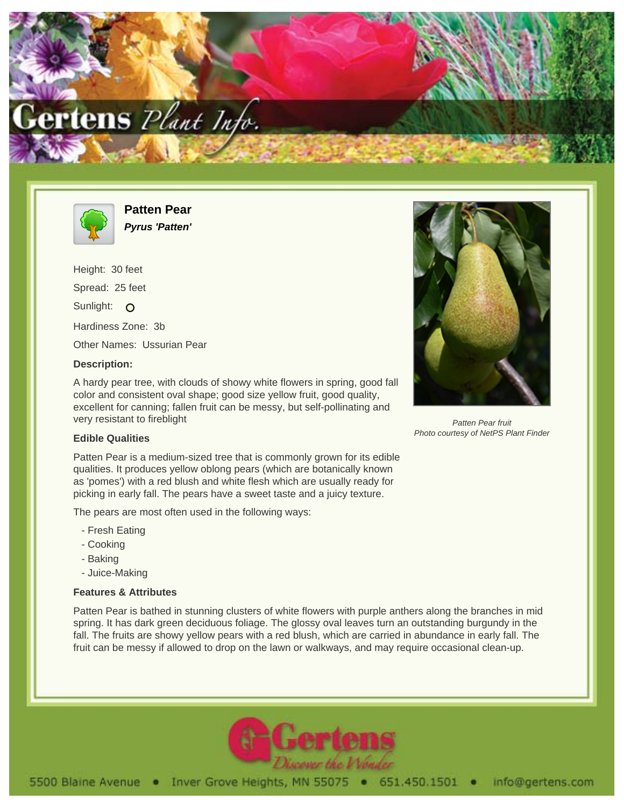



**Patten Pear Pyrus 'Patten'**

Height: 30 feet Spread: 25 feet Sunlight: O Hardiness Zone: 3b Other Names: Ussurian Pear

## **Description:**

A hardy pear tree, with clouds of showy white flowers in spring, good fall color and consistent oval shape; good size yellow fruit, good quality, excellent for canning; fallen fruit can be messy, but self-pollinating and very resistant to fireblight

## **Edible Qualities**

Patten Pear is a medium-sized tree that is commonly grown for its edible qualities. It produces yellow oblong pears (which are botanically known as 'pomes') with a red blush and white flesh which are usually ready for picking in early fall. The pears have a sweet taste and a juicy texture.

The pears are most often used in the following ways:

- Fresh Eating
- Cooking
- Baking
- Juice-Making

## **Features & Attributes**

Patten Pear is bathed in stunning clusters of white flowers with purple anthers along the branches in mid spring. It has dark green deciduous foliage. The glossy oval leaves turn an outstanding burgundy in the fall. The fruits are showy yellow pears with a red blush, which are carried in abundance in early fall. The fruit can be messy if allowed to drop on the lawn or walkways, and may require occasional clean-up.



Patten Pear fruit Photo courtesy of NetPS Plant Finder